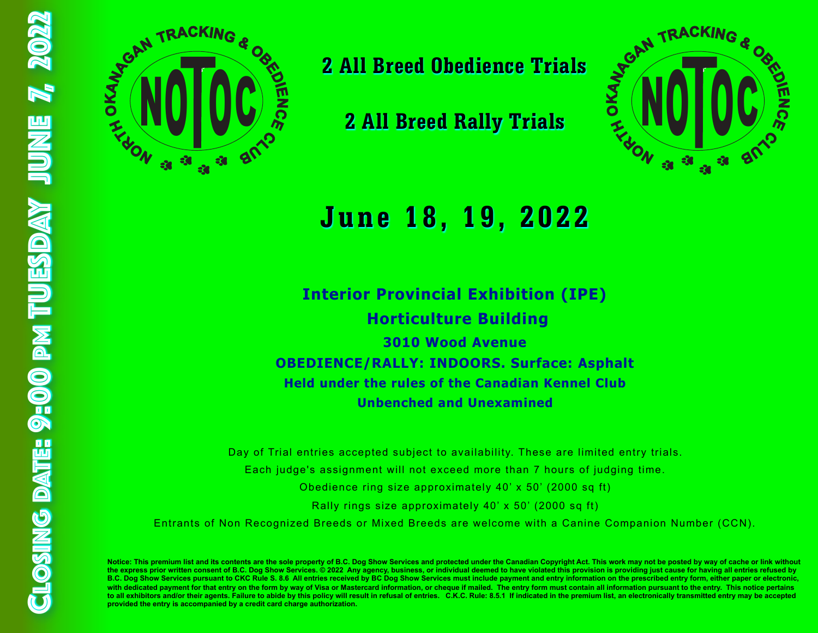



**2 All Breed Obedience Trials** 

**2 All Breed Rally Trials**



**June 18, 19, 2022**

**Interior Provincial Exhibition (IPE) Horticulture Building**

**3010 Wood Avenue OBEDIENCE/RALLY: INDOORS. Surface: Asphalt Held under the rules of the Canadian Kennel Club Unbenched and Unexamined**

Day of Trial entries accepted subject to availability. These are limited entry trials. Each judge's assignment will not exceed more than 7 hours of judging time. Obedience ring size approximately 40' x 50' (2000 sq ft) Rally rings size approximately 40' x 50' (2000 sq ft)

Entrants of Non Recognized Breeds or Mixed Breeds are welcome with a Canine Companion Number (CCN).

Notice: This premium list and its contents are the sole property of B.C. Dog Show Services and protected under the Canadian Copyright Act. This work may not be posted by way of cache or link without **the express prior written consent of B.C. Dog Show Services. © 2022 Any agency, business, or individual deemed to have violated this provision is providing just cause for having all entries refused by B.C. Dog Show Services pursuant to CKC Rule S. 8.6 All entries received by BC Dog Show Services must include payment and entry information on the prescribed entry form, either paper or electronic,**  with dedicated payment for that entry on the form by way of Visa or Mastercard information, or cheque if mailed. The entry form must contain all information pursuant to the entry. This notice pertains to all exhibitors and/or their agents. Failure to abide by this policy will result in refusal of entries. C.K.C. Rule: 8.5.1 If indicated in the premium list, an electronically transmitted entry may be accepted **provided the entry is accompanied by a credit card charge authorization.**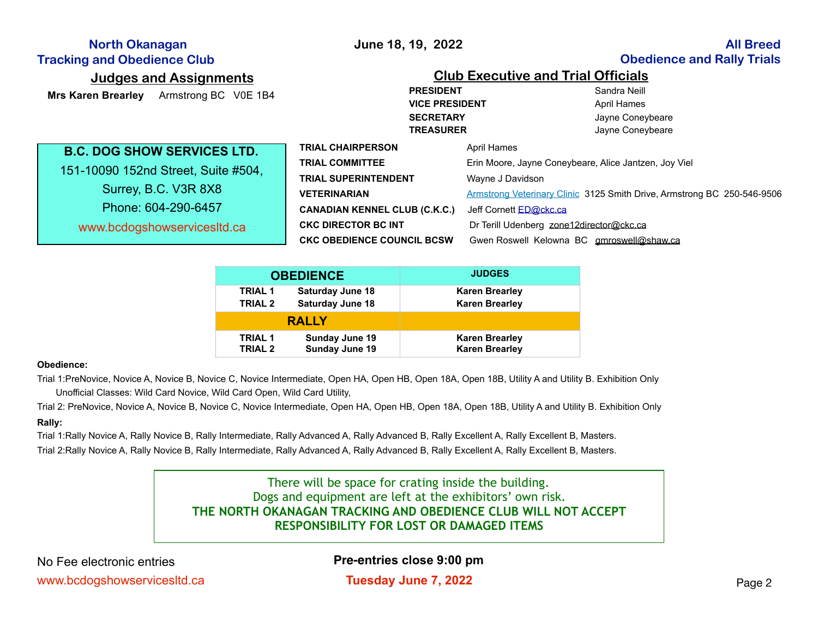# **Judges and Assignments Club Executive and Trial Officials**

**Mrs Karen Brearley** Armstrong BC V0E 1B4

# **June 18, 19, 2022 All Breed**

# **Obedience and Rally Trials**

**VICE PRESIDENT** April Hames **SECRETARY** Jayne Coneybeare **TREASURER** Jayne Coneybeare

**Sandra Neill** 

#### **TRIAL CHAIRPERSON** April Hames **TRIAL COMMITTEE** Erin Moore, Jayne Coneybeare, Alice Jantzen, Joy Viel **TRIAL SUPERINTENDENT** Wayne J Davidson **VETERINARIAN** [Armstrong Veterinary Clinic](http://www.armstrongveterinaryclinic.com/) 3125 Smith Drive, Armstrong BC 250-546-9506 **CANADIAN KENNEL CLUB (C.K.C.)** Jeff Cornett [ED@ckc.ca](mailto:ED@ckc.ca) CKC DIRECTOR BC INT **Dr Terill Udenberg** [zone12director@ckc.ca](mailto:zone12director@ckc.ca) **CKC OBEDIENCE COUNCIL BCSW** Gwen Roswell Kelowna BC [gmroswell@shaw.ca](mailto:gmroswell@shaw.ca) **B.C. DOG SHOW SERVICES LTD.** 151-10090 152nd Street, Suite #504, Surrey, B.C. V3R 8X8 Phone: 604-290-6457 [www.bcdogshowservicesltd.ca](https://www.bcdogshowservicesltd.ca)

|                | <b>OBEDIENCE</b>        | <b>JUDGES</b>         |
|----------------|-------------------------|-----------------------|
| <b>TRIAL 1</b> | <b>Saturday June 18</b> | <b>Karen Brearley</b> |
| <b>TRIAL 2</b> | <b>Saturday June 18</b> | <b>Karen Brearley</b> |
|                | <b>RALLY</b>            |                       |
| <b>TRIAL 1</b> | Sunday June 19          | <b>Karen Brearley</b> |
| <b>TRIAL 2</b> | Sunday June 19          | <b>Karen Brearley</b> |

#### **Obedience:**

Trial 1:PreNovice, Novice A, Novice B, Novice C, Novice Intermediate, Open HA, Open HB, Open 18A, Open 18B, Utility A and Utility B. Exhibition Only Unofficial Classes: Wild Card Novice, Wild Card Open, Wild Card Utility,

**Rally:**  Trial 2: PreNovice, Novice A, Novice B, Novice C, Novice Intermediate, Open HA, Open HB, Open 18A, Open 18B, Utility A and Utility B. Exhibition Only

Trial 1:Rally Novice A, Rally Novice B, Rally Intermediate, Rally Advanced A, Rally Advanced B, Rally Excellent A, Rally Excellent B, Masters. Trial 2:Rally Novice A, Rally Novice B, Rally Intermediate, Rally Advanced A, Rally Advanced B, Rally Excellent A, Rally Excellent B, Masters.

# There will be space for crating inside the building. Dogs and equipment are left at the exhibitors' own risk. **THE NORTH OKANAGAN TRACKING AND OBEDIENCE CLUB WILL NOT ACCEPT RESPONSIBILITY FOR LOST OR DAMAGED ITEMS**

No Fee electronic entries [www.bcdogshowservicesltd.ca](https://www.bcdogshowservicesltd.ca) **Pre-entries close 9:00 pm** 

**Tuesday June 7, 2022**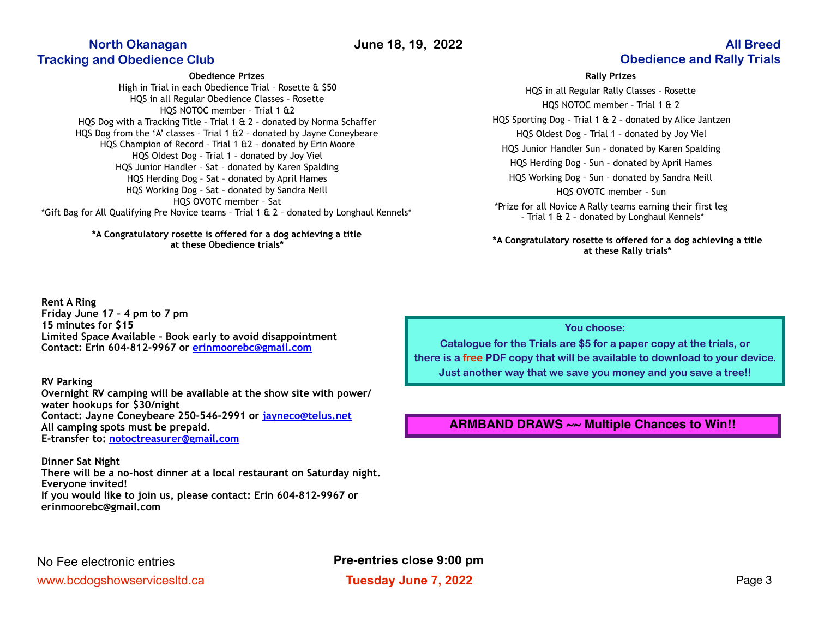# **June 18, 19, 2022 All Breed Obedience and Rally Trials**

**Obedience Prizes** 

High in Trial in each Obedience Trial – Rosette & \$50 HQS in all Regular Obedience Classes – Rosette HQS NOTOC member – Trial 1 &2 HQS Dog with a Tracking Title – Trial 1 & 2 – donated by Norma Schaffer HQS Dog from the 'A' classes – Trial 1 &2 – donated by Jayne Coneybeare HQS Champion of Record – Trial 1 &2 – donated by Erin Moore HQS Oldest Dog – Trial 1 – donated by Joy Viel HQS Junior Handler – Sat – donated by Karen Spalding HQS Herding Dog – Sat – donated by April Hames HQS Working Dog – Sat – donated by Sandra Neill HQS OVOTC member – Sat \*Gift Bag for All Qualifying Pre Novice teams – Trial 1 & 2 – donated by Longhaul Kennels\*

**\*A Congratulatory rosette is offered for a dog achieving a title** 

**Rent A Ring Friday June 17 – 4 pm to 7 pm 15 minutes for \$15 Limited Space Available – Book early to avoid disappointment Contact: Erin 604-812-9967 or [erinmoorebc@gmail.com](mailto:erinmoorebc@gmail.com)**

**RV Parking Overnight RV camping will be available at the show site with power/ water hookups for \$30/night Contact: Jayne Coneybeare 250-546-2991 or [jayneco@telus.net](mailto:jayneco@telus.net) All camping spots must be prepaid. E-transfer to: [notoctreasurer@gmail.com](mailto:notoctreasurer@gmail.com)**

**Dinner Sat Night There will be a no-host dinner at a local restaurant on Saturday night. Everyone invited! If you would like to join us, please contact: Erin 604-812-9967 or erinmoorebc@gmail.com**

**Rally Prizes**  HQS in all Regular Rally Classes – Rosette HQS NOTOC member – Trial 1 & 2 HQS Sporting Dog – Trial 1 & 2 – donated by Alice Jantzen HQS Oldest Dog – Trial 1 – donated by Joy Viel HQS Junior Handler Sun – donated by Karen Spalding HQS Herding Dog – Sun – donated by April Hames HQS Working Dog – Sun – donated by Sandra Neill HQS OVOTC member – Sun \*Prize for all Novice A Rally teams earning their first leg – Trial 1 & 2 – donated by Longhaul Kennels\*

**at these Obedience trials\* \*A Congratulatory rosette is offered for a dog achieving a title at these Rally trials\***

**You choose:** 

**Catalogue for the Trials are \$5 for a paper copy at the trials, or there is a free PDF copy that will be available to download to your device. Just another way that we save you money and you save a tree!!**

**ARMBAND DRAWS ~~ Multiple Chances to Win!!**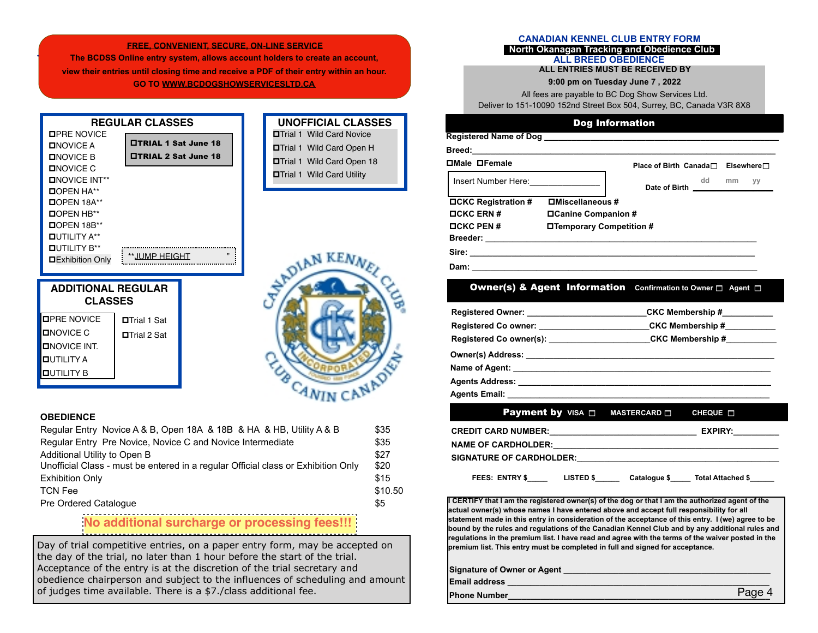### **North Okanagan Billis CONVENIENT, SECURE, ON-LINE SERVICE**

**The BCDSS Online entry system, allows account holders to create an account, view their entries until closing time and receive a PDF of their entry within an hour. GO TO [WWW.BCDOGSHOWSERVICESLTD.CA](http://WWW.BCDOGSHOWSERVICESLTD.CA)**

|                                             | <b>REGULAR CLASSES</b>                    |
|---------------------------------------------|-------------------------------------------|
| <b>OPRE NOVICE</b>                          |                                           |
| <b>DNOVICE A</b>                            | <b>OTRIAL 1 Sat June 18</b>               |
| <b>ONOVICE B</b>                            | <b>OTRIAL 2 Sat June 18</b>               |
| <b>ONOVICE C</b>                            |                                           |
| <b>DNOVICE INT**</b>                        |                                           |
| $\Box$ OPFN HA**                            |                                           |
| $\Box$ OPFN 18A**                           |                                           |
| $\Box$ OPFN HB**                            |                                           |
| $\Box$ OPEN 18B**                           |                                           |
| $I$ UTII ITY A**                            |                                           |
| $\Box$ UTILITY B**                          |                                           |
| <b>DExhibition Only</b>                     | $\overline{\mathbf{v}}$<br>**.IUMP HEIGHT |
|                                             |                                           |
| <b>ADDITIONAL REGULAR</b><br><b>CLASSES</b> |                                           |

**D**Trial 1 Sat ■Trial 2 Sat





#### **OBEDIENCE**

**OPRE NOVICE** !NOVICE C **DINOVICE INT. DUTILITY A DUTILITY B** 

| Regular Entry Novice A & B, Open 18A & 18B & HA & HB, Utility A & B               | \$35    |
|-----------------------------------------------------------------------------------|---------|
| Regular Entry Pre Novice, Novice C and Novice Intermediate                        | \$35    |
| Additional Utility to Open B                                                      | \$27    |
| Unofficial Class - must be entered in a regular Official class or Exhibition Only | \$20    |
| <b>Exhibition Only</b>                                                            | \$15    |
| <b>TCN Fee</b>                                                                    | \$10.50 |
| <b>Pre Ordered Catalogue</b>                                                      | \$5     |
|                                                                                   |         |

# **No additional surcharge or processing fees!!!**

the day of the than, no fater than I hour before the start of the than.<br>Acceptance of the entry is at the discretion of the trial secretary and obedience chairperson and subject to the influences of scheduling and amount **Figure Pre-entries close 9:00 pm**  Day of trial competitive entries, on a paper entry form, may be accepted on the day of the trial, no later than 1 hour before the start of the trial. of judges time available. There is a \$7./class additional fee.

#### **JUNE 18, 19, 2022 <b>ANNADIAN MENNEL CLUB ENTRY FORM**<br> **SANADIAN MENNEL CLUB ENTRY FORM CANADIAN KENNEL CLUB ENTRY FORM**

**Obedience and Rally Trials ALL BREED OBEDIENCE**

**ALL ENTRIES MUST BE RECEIVED BY** 

**9:00 pm on Tuesday June 7 , 2022** 

All fees are payable to BC Dog Show Services Ltd. Deliver to 151-10090 152nd Street Box 504, Surrey, BC, Canada V3R 8X8

#### Dog Information

**Registered Name of Dog** 

**Phone Number\_\_\_\_\_\_\_\_\_\_\_\_\_\_\_\_\_\_\_\_\_\_\_\_\_\_\_\_\_\_\_\_\_\_\_\_\_\_\_\_\_\_\_\_\_\_\_\_\_\_\_\_\_\_\_\_\_**

| <b>OMale OFemale</b> |                                 | Place of Birth Canada <sup>n</sup> Elsewheren |    |    |    |
|----------------------|---------------------------------|-----------------------------------------------|----|----|----|
| Insert Number Here:  |                                 |                                               | dd | mm | yy |
| □CKC Registration #  | □Miscellaneous #                |                                               |    |    |    |
| <b>OCKC ERN#</b>     | □Canine Companion #             |                                               |    |    |    |
| $C$ KC PEN#          | <b>□Temporary Competition #</b> |                                               |    |    |    |
| <b>Breeder:</b>      |                                 |                                               |    |    |    |
| Sire:                |                                 |                                               |    |    |    |

### **Owner(s) & Agent Information** Confirmation to Owner □ Agent □

**Dam: \_\_\_\_\_\_\_\_\_\_\_\_\_\_\_\_\_\_\_\_\_\_\_\_\_\_\_\_\_\_\_\_\_\_\_\_\_\_\_\_\_\_\_\_\_\_\_\_\_\_\_\_\_\_\_\_\_\_\_\_\_\_**

|                      | Registered Owner: ____________________________CKC Membership #____________<br>Registered Co owner: ______________________CKC Membership #__________                                                                                                                                                                                                                                                                                                                                                                                                                                     |  |
|----------------------|-----------------------------------------------------------------------------------------------------------------------------------------------------------------------------------------------------------------------------------------------------------------------------------------------------------------------------------------------------------------------------------------------------------------------------------------------------------------------------------------------------------------------------------------------------------------------------------------|--|
|                      |                                                                                                                                                                                                                                                                                                                                                                                                                                                                                                                                                                                         |  |
|                      | Registered Co owner(s): _______________________CKC Membership #___________                                                                                                                                                                                                                                                                                                                                                                                                                                                                                                              |  |
|                      |                                                                                                                                                                                                                                                                                                                                                                                                                                                                                                                                                                                         |  |
|                      |                                                                                                                                                                                                                                                                                                                                                                                                                                                                                                                                                                                         |  |
|                      |                                                                                                                                                                                                                                                                                                                                                                                                                                                                                                                                                                                         |  |
|                      |                                                                                                                                                                                                                                                                                                                                                                                                                                                                                                                                                                                         |  |
|                      | <b>Payment by</b> VISA $\Box$ MASTERCARD $\Box$<br>CHEQUE <b>O</b>                                                                                                                                                                                                                                                                                                                                                                                                                                                                                                                      |  |
|                      |                                                                                                                                                                                                                                                                                                                                                                                                                                                                                                                                                                                         |  |
|                      |                                                                                                                                                                                                                                                                                                                                                                                                                                                                                                                                                                                         |  |
|                      |                                                                                                                                                                                                                                                                                                                                                                                                                                                                                                                                                                                         |  |
|                      | FEES: ENTRY \$___________LISTED \$___________Catalogue \$_________ Total Attached \$_______                                                                                                                                                                                                                                                                                                                                                                                                                                                                                             |  |
|                      | I CERTIFY that I am the registered owner(s) of the dog or that I am the authorized agent of the<br>actual owner(s) whose names I have entered above and accept full responsibility for all<br>statement made in this entry in consideration of the acceptance of this entry. I (we) agree to be<br>bound by the rules and regulations of the Canadian Kennel Club and by any additional rules and<br>regulations in the premium list. I have read and agree with the terms of the waiver posted in the<br>premium list. This entry must be completed in full and signed for acceptance. |  |
|                      |                                                                                                                                                                                                                                                                                                                                                                                                                                                                                                                                                                                         |  |
| <b>Email address</b> |                                                                                                                                                                                                                                                                                                                                                                                                                                                                                                                                                                                         |  |
| <b>Phone Number</b>  | Page 4                                                                                                                                                                                                                                                                                                                                                                                                                                                                                                                                                                                  |  |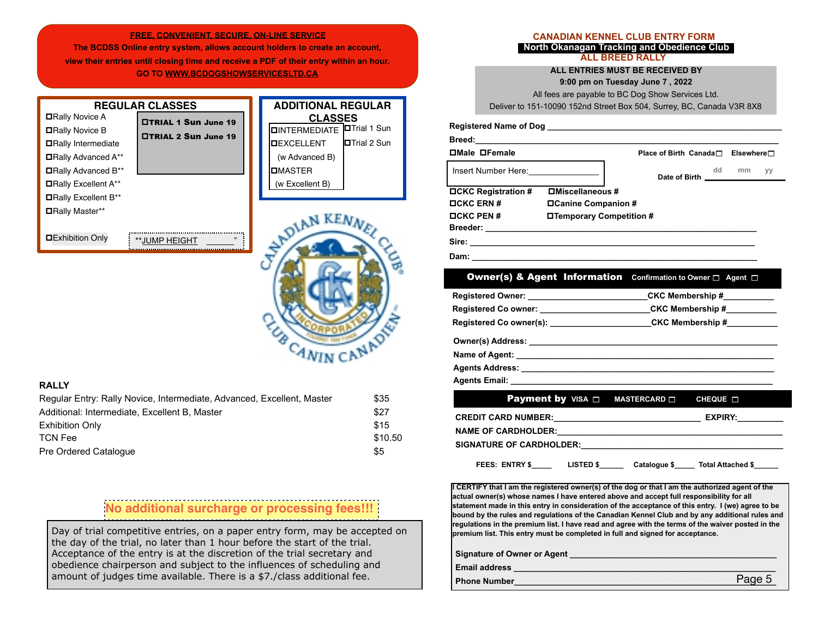#### **FREE, CONVENIENT, SECURE, ON-LINE SERVICE**

**The BCDSS Online entry system, allows account holders to create an account, Tracking view their entries until closing time and receive a PDF of their entry within an hour. GO TO [WWW.BCDOGSHOWSERVICESLTD.CA](http://WWW.BCDOGSHOWSERVICESLTD.CA) ALL ENTRIES MUST BE RECEIVED BY** 

|                             | <b>REGULAR CLASSES</b>      |
|-----------------------------|-----------------------------|
| <b>□Rally Novice A</b>      | <b>OTRIAL 1 Sun June 19</b> |
| <b>□</b> Rally Novice B     | <b>OTRIAL 2 Sun June 19</b> |
| <b>□</b> Rally Intermediate |                             |
| <b>□</b> Rally Advanced A** |                             |
| □Rally Advanced B**         |                             |
| <b>□Rally Excellent A**</b> |                             |
| <b>□Rally Excellent B**</b> |                             |
| <b>ORally Master**</b>      |                             |
| <b>DExhibition Only</b>     | <b>MP HEIGHT</b>            |





#### **RALLY**

| Regular Entry: Rally Novice, Intermediate, Advanced, Excellent, Master | \$35    |
|------------------------------------------------------------------------|---------|
| Additional: Intermediate. Excellent B. Master                          | \$27    |
| <b>Exhibition Only</b>                                                 | \$15    |
| <b>TCN Fee</b>                                                         | \$10.50 |
| Pre Ordered Catalogue                                                  | \$5     |

#### **No additional surcharge or processing fees!!!**

**Proceptance of the entry is at the discretion of the thair secretary and and properties provided to the influences of scheduling and <b>Figure** amount of judges time available. There is a \$7./class additional fee. the day of the trial, no later than 1 hour before the start of the trial. Acceptance of the entry is at the discretion of the trial secretary and

#### **June 18, 19, 2022 ANN ALINE COOP ENTRIT ONINTIAL BREED ASSESS CANADIAN KENNEL CLUB ENTRY FORM**

# **Obedience and Rally Trials ALL BREED RALLY**

**9:00 pm on Tuesday June 7 , 2022** 

All fees are payable to BC Dog Show Services Ltd.

Deliver to 151-10090 152nd Street Box 504, Surrey, BC, Canada V3R 8X8

**Registered Name of Dog \_\_\_\_\_\_\_\_\_\_\_\_\_\_\_\_\_\_\_\_\_\_\_\_\_\_\_\_\_\_\_\_\_\_\_\_\_\_\_\_\_\_\_\_\_\_\_\_\_\_\_** 

#### **Breed:\_\_\_\_\_\_\_\_\_\_\_\_\_\_\_\_\_\_\_\_\_\_\_\_\_\_\_\_\_\_\_\_\_\_\_\_\_\_\_\_\_\_\_\_\_\_\_\_\_\_\_\_\_\_\_\_\_\_\_\_\_\_\_\_\_\_**  !**Male** !**Female**

Insert Number Here: **and Election Controller and the United States** dd mm yy Date of Birth \_ **Place of Birth Canada**<sup>*□*</sup> Elsewhere□

| □CKC Registration # | $\Box$ Miscellaneous #          |  |
|---------------------|---------------------------------|--|
| $C$ CKC ERN #       | □ Canine Companion #            |  |
| $C$ KC PEN#         | <b>□Temporary Competition #</b> |  |
| <b>Breeder:</b>     |                                 |  |

**Sire: \_\_\_\_\_\_\_\_\_\_\_\_\_\_\_\_\_\_\_\_\_\_\_\_\_\_\_\_\_\_\_\_\_\_\_\_\_\_\_\_\_\_\_\_\_\_\_\_\_\_\_\_\_\_\_\_\_\_\_\_\_\_** 

**Dam: Dam:** *Particularly 2000 <b>Particularly 2000 Particularly 2000 Particularly 2000 Particularly 2000 Particular 2000 Particular 2000 Particular 2000 Particular 2000 Particular 2000 Particular 2000 Particular 2000 Pa* 

### **Owner(s) & Agent Information** Confirmation to Owner □ Agent □

| Registered Owner: And the state of the state of the state of the state of the state of the state of the state o                                                                                                                | <b>CKC Membership #</b> |  |
|--------------------------------------------------------------------------------------------------------------------------------------------------------------------------------------------------------------------------------|-------------------------|--|
|                                                                                                                                                                                                                                | <b>CKC Membership #</b> |  |
| Registered Co owner(s): _______________________                                                                                                                                                                                | <b>CKC Membership #</b> |  |
| Owner(s) Address: the contract of the contract of the contract of the contract of the contract of the contract of the contract of the contract of the contract of the contract of the contract of the contract of the contract |                         |  |
| Name of Agent:                                                                                                                                                                                                                 |                         |  |

**Agents Address: \_\_\_\_\_\_\_\_\_\_\_\_\_\_\_\_\_\_\_\_\_\_\_\_\_\_\_\_\_\_\_\_\_\_\_\_\_\_\_\_\_\_\_\_\_\_\_\_\_\_\_\_\_\_\_** 

**Agents Email: \_\_\_\_\_\_\_\_\_\_\_\_\_\_\_\_\_\_\_\_\_\_\_\_\_\_\_\_\_\_\_\_\_\_\_\_\_\_\_\_\_\_\_\_\_\_\_\_\_\_\_\_\_\_\_\_\_**

| <b>Payment by</b> VISA $\Box$ MASTERCARD $\Box$ | CHEQUE <b>IT</b>               |
|-------------------------------------------------|--------------------------------|
|                                                 | EXPIRY:                        |
| <b>NAME OF CARDHOLDER:</b>                      |                                |
| <b>SIGNATURE OF CARDHOLDER:</b>                 |                                |
| <b>FEES: ENTRY \$</b><br><b>LISTED \$</b>       | Catalogue \$ Total Attached \$ |

**I CERTIFY that I am the registered owner(s) of the dog or that I am the authorized agent of the actual owner(s) whose names I have entered above and accept full responsibility for all statement made in this entry in consideration of the acceptance of this entry. I (we) agree to be bound by the rules and regulations of the Canadian Kennel Club and by any additional rules and**  Day of trial competitive entries, on a paper entry form, may be accepted on

**Signature of Owner or Agent \_\_\_\_\_\_\_\_\_\_\_\_\_\_\_\_\_\_\_\_\_\_\_\_\_\_\_\_\_\_\_\_\_\_\_\_\_\_\_\_\_\_\_\_\_** 

**Email address \_\_\_\_\_\_\_\_\_\_\_\_\_\_\_\_\_\_\_\_\_\_\_\_\_\_\_\_\_\_\_\_\_\_\_\_\_\_\_\_\_\_\_\_\_\_\_\_\_\_\_\_\_\_\_\_\_** 

**Tree. Page 5** 

Page 5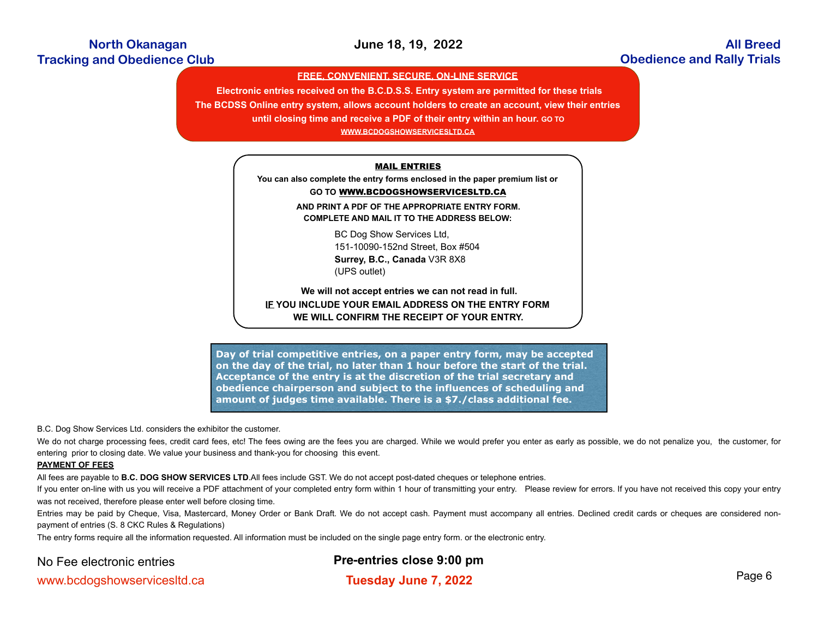# **June 18, 19, 2022 All Breed Obedience and Rally Trials**

#### **FREE, CONVENIENT, SECURE, ON-LINE SERVICE**

 **Electronic entries received on the B.C.D.S.S. Entry system are permitted for these trials The BCDSS Online entry system, allows account holders to create an account, view their entries until closing time and receive a PDF of their entry within an hour. GO TO [WWW.BCDOGSHOWSERVICESLTD.CA](http://WWW.BCDOGSHOWSERVICESLTD.CA)**

#### MAIL ENTRIES

**You can also complete the entry forms enclosed in the paper premium list or** 

#### **GO TO** [WWW.BCDOGSHOWSERVICESLTD.CA](http://WWW.BCDOGSHOWSERVICESLTD.CA)

**AND PRINT A PDF OF THE APPROPRIATE ENTRY FORM. COMPLETE AND MAIL IT TO THE ADDRESS BELOW:** 

> BC Dog Show Services Ltd, 151-10090-152nd Street, Box #504 **Surrey, B.C., Canada** V3R 8X8 (UPS outlet)

 **We will not accept entries we can not read in full. IF YOU INCLUDE YOUR EMAIL ADDRESS ON THE ENTRY FORM WE WILL CONFIRM THE RECEIPT OF YOUR ENTRY.**

**Day of trial competitive entries, on a paper entry form, may be accepted on the day of the trial, no later than 1 hour before the start of the trial. Acceptance of the entry is at the discretion of the trial secretary and obedience chairperson and subject to the influences of scheduling and amount of judges time available. There is a \$7./class additional fee.**

B.C. Dog Show Services Ltd. considers the exhibitor the customer.

We do not charge processing fees, credit card fees, etc! The fees owing are the fees you are charged. While we would prefer you enter as early as possible, we do not penalize you, the customer, for entering prior to closing date. We value your business and thank-you for choosing this event.

#### **PAYMENT OF FEES**

All fees are payable to **B.C. DOG SHOW SERVICES LTD**.All fees include GST. We do not accept post-dated cheques or telephone entries.

If you enter on-line with us you will receive a PDF attachment of your completed entry form within 1 hour of transmitting your entry. Please review for errors. If you have not received this copy your entry was not received, therefore please enter well before closing time.

Entries may be paid by Cheque, Visa, Mastercard, Money Order or Bank Draft. We do not accept cash. Payment must accompany all entries. Declined credit cards or cheques are considered nonpayment of entries (S. 8 CKC Rules & Regulations)

The entry forms require all the information requested. All information must be included on the single page entry form. or the electronic entry.

| No Fee electronic entries   | Pre-entries close 9:00 pm |  |
|-----------------------------|---------------------------|--|
| www.bcdogshowservicesItd.ca | Tuesday June 7, 2022      |  |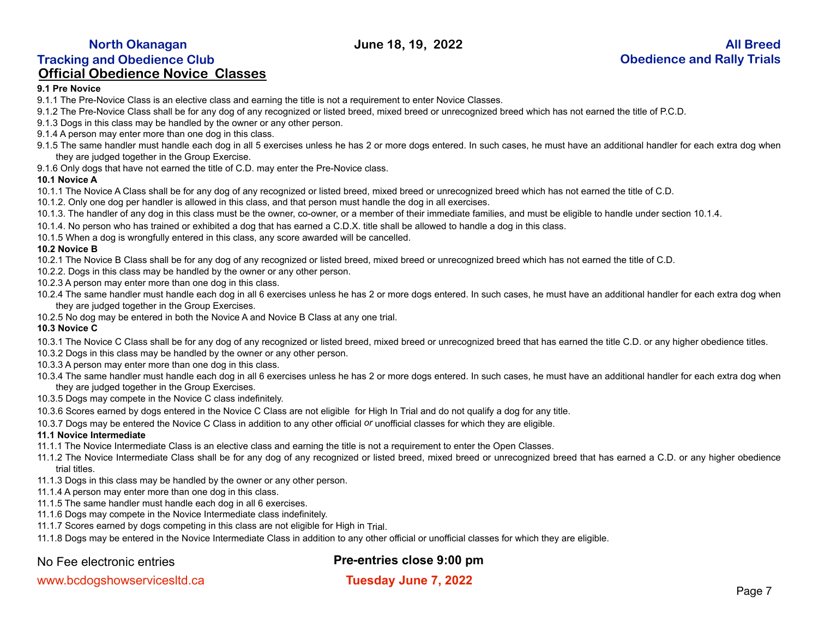# **North Okanagan Tracking and Obedience Club Official Obedience Novice Classes**

#### **9.1 Pre Novice**

9.1.1 The Pre-Novice Class is an elective class and earning the title is not a requirement to enter Novice Classes.

- 9.1.2 The Pre-Novice Class shall be for any dog of any recognized or listed breed, mixed breed or unrecognized breed which has not earned the title of P.C.D.
- 9.1.3 Dogs in this class may be handled by the owner or any other person.
- 9.1.4 A person may enter more than one dog in this class.
- 9.1.5 The same handler must handle each dog in all 5 exercises unless he has 2 or more dogs entered. In such cases, he must have an additional handler for each extra dog when they are judged together in the Group Exercise.
- 9.1.6 Only dogs that have not earned the title of C.D. may enter the Pre-Novice class.

#### **10.1 Novice A**

- 10.1.1 The Novice A Class shall be for any dog of any recognized or listed breed, mixed breed or unrecognized breed which has not earned the title of C.D.
- 10.1.2. Only one dog per handler is allowed in this class, and that person must handle the dog in all exercises.
- 10.1.3. The handler of any dog in this class must be the owner, co-owner, or a member of their immediate families, and must be eligible to handle under section 10.1.4.
- 10.1.4. No person who has trained or exhibited a dog that has earned a C.D.X. title shall be allowed to handle a dog in this class.
- 10.1.5 When a dog is wrongfully entered in this class, any score awarded will be cancelled.

#### **10.2 Novice B**

- 10.2.1 The Novice B Class shall be for any dog of any recognized or listed breed, mixed breed or unrecognized breed which has not earned the title of C.D.
- 10.2.2. Dogs in this class may be handled by the owner or any other person.
- 10.2.3 A person may enter more than one dog in this class.
- 10.2.4 The same handler must handle each dog in all 6 exercises unless he has 2 or more dogs entered. In such cases, he must have an additional handler for each extra dog when they are judged together in the Group Exercises.
- 10.2.5 No dog may be entered in both the Novice A and Novice B Class at any one trial.

#### **10.3 Novice C**

10.3.1 The Novice C Class shall be for any dog of any recognized or listed breed, mixed breed or unrecognized breed that has earned the title C.D. or any higher obedience titles.

- 10.3.2 Dogs in this class may be handled by the owner or any other person.
- 10.3.3 A person may enter more than one dog in this class.
- 10.3.4 The same handler must handle each dog in all 6 exercises unless he has 2 or more dogs entered. In such cases, he must have an additional handler for each extra dog when they are judged together in the Group Exercises.
- 10.3.5 Dogs may compete in the Novice C class indefinitely.
- 10.3.6 Scores earned by dogs entered in the Novice C Class are not eligible for High In Trial and do not qualify a dog for any title.
- 10.3.7 Dogs may be entered the Novice C Class in addition to any other official *or* unofficial classes for which they are eligible.

#### **11.1 Novice Intermediate**

- 11.1.1 The Novice Intermediate Class is an elective class and earning the title is not a requirement to enter the Open Classes.
- 11.1.2 The Novice Intermediate Class shall be for any dog of any recognized or listed breed, mixed breed or unrecognized breed that has earned a C.D. or any higher obedience trial titles.
- 11.1.3 Dogs in this class may be handled by the owner or any other person.
- 11.1.4 A person may enter more than one dog in this class.
- 11.1.5 The same handler must handle each dog in all 6 exercises.
- 11.1.6 Dogs may compete in the Novice Intermediate class indefinitely.
- 11.1.7 Scores earned by dogs competing in this class are not eligible for High in Trial.

11.1.8 Dogs may be entered in the Novice Intermediate Class in addition to any other official or unofficial classes for which they are eligible.

# No Fee electronic entries

# **Pre-entries close 9:00 pm**

[www.bcdogshowservicesltd.ca](https://www.bcdogshowservicesltd.ca)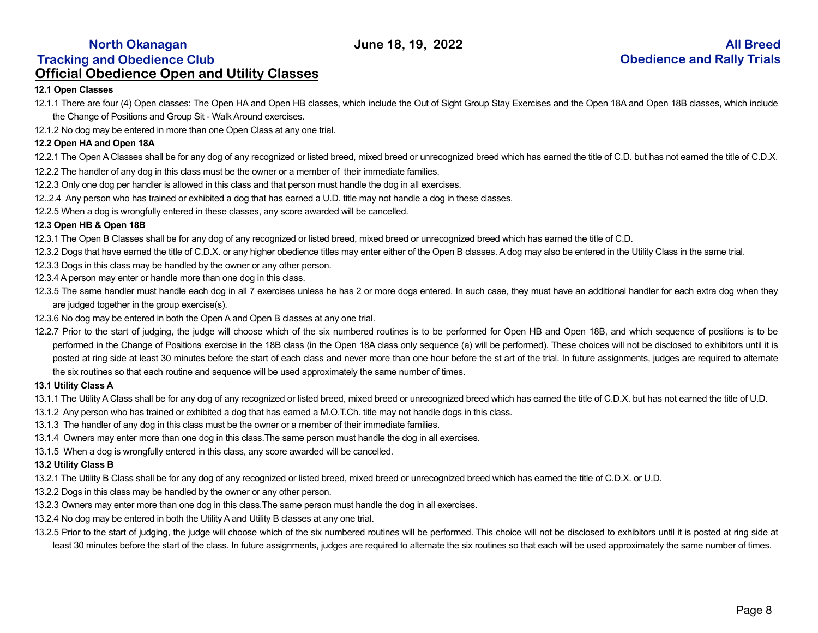# **North Okanagan Tracking and Obedience Club Official Obedience Open and Utility Classes**

#### **12.1 Open Classes**

- 12.1.1 There are four (4) Open classes: The Open HA and Open HB classes, which include the Out of Sight Group Stay Exercises and the Open 18A and Open 18B classes, which include the Change of Positions and Group Sit - Walk Around exercises.
- 12.1.2 No dog may be entered in more than one Open Class at any one trial.

#### **12.2 Open HA and Open 18A**

- 12.2.1 The Open A Classes shall be for any dog of any recognized or listed breed, mixed breed or unrecognized breed which has earned the title of C.D. but has not earned the title of C.D.X.
- 12.2.2 The handler of any dog in this class must be the owner or a member of their immediate families.
- 12.2.3 Only one dog per handler is allowed in this class and that person must handle the dog in all exercises.
- 12..2.4 Any person who has trained or exhibited a dog that has earned a U.D. title may not handle a dog in these classes.
- 12.2.5 When a dog is wrongfully entered in these classes, any score awarded will be cancelled.

#### **12.3 Open HB & Open 18B**

- 12.3.1 The Open B Classes shall be for any dog of any recognized or listed breed, mixed breed or unrecognized breed which has earned the title of C.D.
- 12.3.2 Dogs that have earned the title of C.D.X. or any higher obedience titles may enter either of the Open B classes. A dog may also be entered in the Utility Class in the same trial.
- 12.3.3 Dogs in this class may be handled by the owner or any other person.
- 12.3.4 A person may enter or handle more than one dog in this class.
- 12.3.5 The same handler must handle each dog in all 7 exercises unless he has 2 or more dogs entered. In such case, they must have an additional handler for each extra dog when they are judged together in the group exercise(s).
- 12.3.6 No dog may be entered in both the Open A and Open B classes at any one trial.
- 12.2.7 Prior to the start of judging, the judge will choose which of the six numbered routines is to be performed for Open HB and Open 18B, and which sequence of positions is to be performed in the Change of Positions exercise in the 18B class (in the Open 18A class only sequence (a) will be performed). These choices will not be disclosed to exhibitors until it is posted at ring side at least 30 minutes before the start of each class and never more than one hour before the st art of the trial. In future assignments, judges are required to alternate the six routines so that each routine and sequence will be used approximately the same number of times.

#### **13.1 Utility Class A**

- 13.1.1 The Utility A Class shall be for any dog of any recognized or listed breed, mixed breed or unrecognized breed which has earned the title of C.D.X. but has not earned the title of U.D.
- 13.1.2 Any person who has trained or exhibited a dog that has earned a M.O.T.Ch. title may not handle dogs in this class.
- 13.1.3 The handler of any dog in this class must be the owner or a member of their immediate families.
- 13.1.4 Owners may enter more than one dog in this class.The same person must handle the dog in all exercises.
- 13.1.5 When a dog is wrongfully entered in this class, any score awarded will be cancelled.

#### **13.2 Utility Class B**

- 13.2.1 The Utility B Class shall be for any dog of any recognized or listed breed, mixed breed or unrecognized breed which has earned the title of C.D.X. or U.D.
- 13.2.2 Dogs in this class may be handled by the owner or any other person.
- 13.2.3 Owners may enter more than one dog in this class.The same person must handle the dog in all exercises.
- 13.2.4 No dog may be entered in both the Utility A and Utility B classes at any one trial.
- 13.2.5 Prior to the start of judging, the judge will choose which of the six numbered routines will be performed. This choice will not be disclosed to exhibitors until it is posted at ring side at least 30 minutes before the start of the class. In future assignments, judges are required to alternate the six routines so that each will be used approximately the same number of times.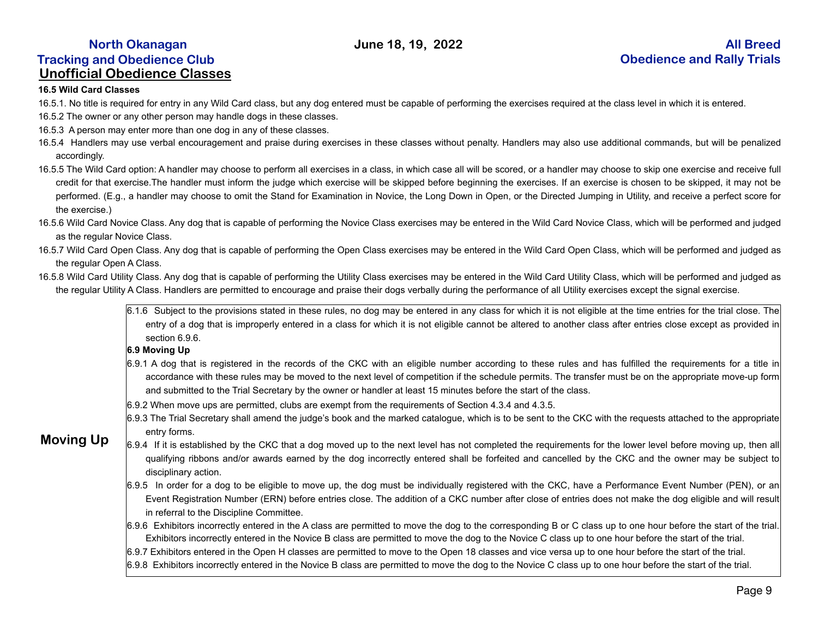# **North Okanagan Tracking and Obedience Club Unofficial Obedience Classes**

#### **16.5 Wild Card Classes**

- 16.5.1. No title is required for entry in any Wild Card class, but any dog entered must be capable of performing the exercises required at the class level in which it is entered.
- 16.5.2 The owner or any other person may handle dogs in these classes.
- 16.5.3 A person may enter more than one dog in any of these classes.
- 16.5.4 Handlers may use verbal encouragement and praise during exercises in these classes without penalty. Handlers may also use additional commands, but will be penalized accordingly.
- 16.5.5 The Wild Card option: A handler may choose to perform all exercises in a class, in which case all will be scored, or a handler may choose to skip one exercise and receive full credit for that exercise.The handler must inform the judge which exercise will be skipped before beginning the exercises. If an exercise is chosen to be skipped, it may not be performed. (E.g., a handler may choose to omit the Stand for Examination in Novice, the Long Down in Open, or the Directed Jumping in Utility, and receive a perfect score for the exercise.)
- 16.5.6 Wild Card Novice Class. Any dog that is capable of performing the Novice Class exercises may be entered in the Wild Card Novice Class, which will be performed and judged as the regular Novice Class.
- 16.5.7 Wild Card Open Class. Any dog that is capable of performing the Open Class exercises may be entered in the Wild Card Open Class, which will be performed and judged as the regular Open A Class.
- 16.5.8 Wild Card Utility Class. Any dog that is capable of performing the Utility Class exercises may be entered in the Wild Card Utility Class, which will be performed and judged as the regular Utility A Class. Handlers are permitted to encourage and praise their dogs verbally during the performance of all Utility exercises except the signal exercise.

 $6.1.6$  Subject to the provisions stated in these rules, no dog may be entered in any class for which it is not eligible at the time entries for the trial close. The entry of a dog that is improperly entered in a class for which it is not eligible cannot be altered to another class after entries close except as provided in section 6.9.6.

**6.9 Moving Up**

ww.bcdogshowservices.ca

**Moving Up**

- 6.9.1 A dog that is registered in the records of the CKC with an eligible number according to these rules and has fulfilled the requirements for a title in accordance with these rules may be moved to the next level of competition if the schedule permits. The transfer must be on the appropriate move-up form and submitted to the Trial Secretary by the owner or handler at least 15 minutes before the start of the class.
- 6.9.2 When move ups are permitted, clubs are exempt from the requirements of Section 4.3.4 and 4.3.5.
- 6.9.3 The Trial Secretary shall amend the judge's book and the marked catalogue, which is to be sent to the CKC with the requests attached to the appropriate entry forms.
- 6.9.4 If it is established by the CKC that a dog moved up to the next level has not completed the requirements for the lower level before moving up, then all qualifying ribbons and/or awards earned by the dog incorrectly entered shall be forfeited and cancelled by the CKC and the owner may be subject to disciplinary action.
	- 6.9.5 In order for a dog to be eligible to move up, the dog must be individually registered with the CKC, have a Performance Event Number (PEN), or an Event Registration Number (ERN) before entries close. The addition of a CKC number after close of entries does not make the dog eligible and will result in referral to the Discipline Committee.
	- 6.9.6 Exhibitors incorrectly entered in the A class are permitted to move the dog to the corresponding B or C class up to one hour before the start of the trial. Exhibitors incorrectly entered in the Novice B class are permitted to move the dog to the Novice C class up to one hour before the start of the trial.
	- 6.9.7 Exhibitors entered in the Open H classes are permitted to move to the Open 18 classes and vice versa up to one hour before the start of the trial.

**Tuesday June 7, 2022**

10.00 Pre-examples ontered in the open in states are permitted to move the dog to the Novice C class up to one hour before the start of the trial.<br>6.9.8 Exhibitors incorrectly entered in the Novice B class are permitted to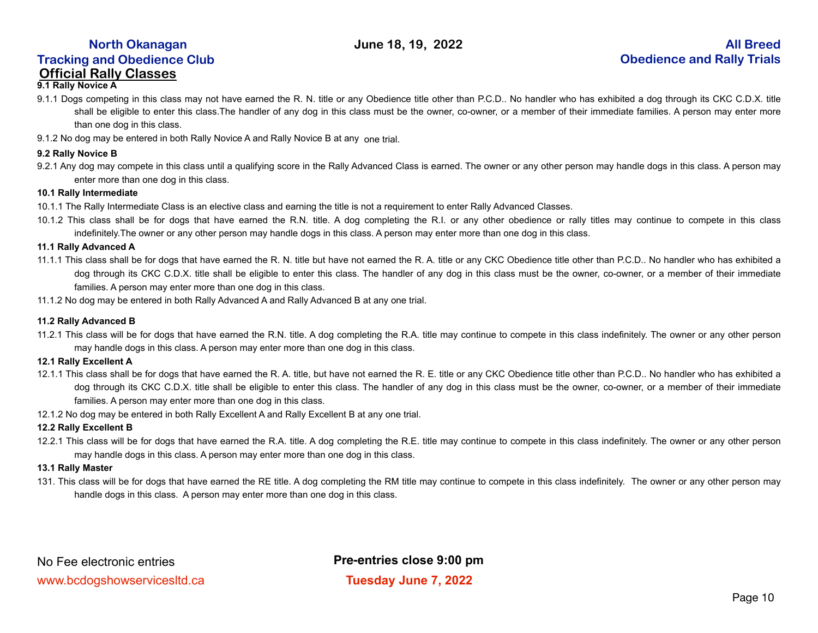# **North Okanagan Tracking and Obedience Club Official Rally Classes**

#### **9.1 Rally Novice A**

- 9.1.1 Dogs competing in this class may not have earned the R. N. title or any Obedience title other than P.C.D.. No handler who has exhibited a dog through its CKC C.D.X. title shall be eligible to enter this class. The handler of any dog in this class must be the owner, co-owner, or a member of their immediate families. A person may enter more than one dog in this class.
- 9.1.2 No dog may be entered in both Rally Novice A and Rally Novice B at any one trial.

#### **9.2 Rally Novice B**

9.2.1 Any dog may compete in this class until a qualifying score in the Rally Advanced Class is earned. The owner or any other person may handle dogs in this class. A person may enter more than one dog in this class.

#### **10.1 Rally Intermediate**

- 10.1.1 The Rally Intermediate Class is an elective class and earning the title is not a requirement to enter Rally Advanced Classes.
- 10.1.2 This class shall be for dogs that have earned the R.N. title. A dog completing the R.I. or any other obedience or rally titles may continue to compete in this class indefinitely.The owner or any other person may handle dogs in this class. A person may enter more than one dog in this class.

#### **11.1 Rally Advanced A**

- 11.1.1 This class shall be for dogs that have earned the R.N. title but have not earned the R.A. title or any CKC Obedience title other than P.C.D.. No handler who has exhibited a dog through its CKC C.D.X. title shall be eligible to enter this class. The handler of any dog in this class must be the owner, co-owner, or a member of their immediate families. A person may enter more than one dog in this class.
- 11.1.2 No dog may be entered in both Rally Advanced A and Rally Advanced B at any one trial.

#### **11.2 Rally Advanced B**

11.2.1 This class will be for dogs that have earned the R.N. title. A dog completing the R.A. title may continue to compete in this class indefinitely. The owner or any other person may handle dogs in this class. A person may enter more than one dog in this class.

#### **12.1 Rally Excellent A**

- 12.1.1 This class shall be for dogs that have earned the R. A. title, but have not earned the R. E. title or any CKC Obedience title other than P.C.D.. No handler who has exhibited a dog through its CKC C.D.X. title shall be eligible to enter this class. The handler of any dog in this class must be the owner, co-owner, or a member of their immediate families. A person may enter more than one dog in this class.
- 12.1.2 No dog may be entered in both Rally Excellent A and Rally Excellent B at any one trial.

#### **12.2 Rally Excellent B**

12.2.1 This class will be for dogs that have earned the R.A. title. A dog completing the R.E. title may continue to compete in this class indefinitely. The owner or any other person may handle dogs in this class. A person may enter more than one dog in this class.

#### **13.1 Rally Master**

131. This class will be for dogs that have earned the RE title. A dog completing the RM title may continue to compete in this class indefinitely. The owner or any other person may handle dogs in this class. A person may enter more than one dog in this class.

# **Pre-entries close 9:00 pm**

**Tuesday June 7, 2022**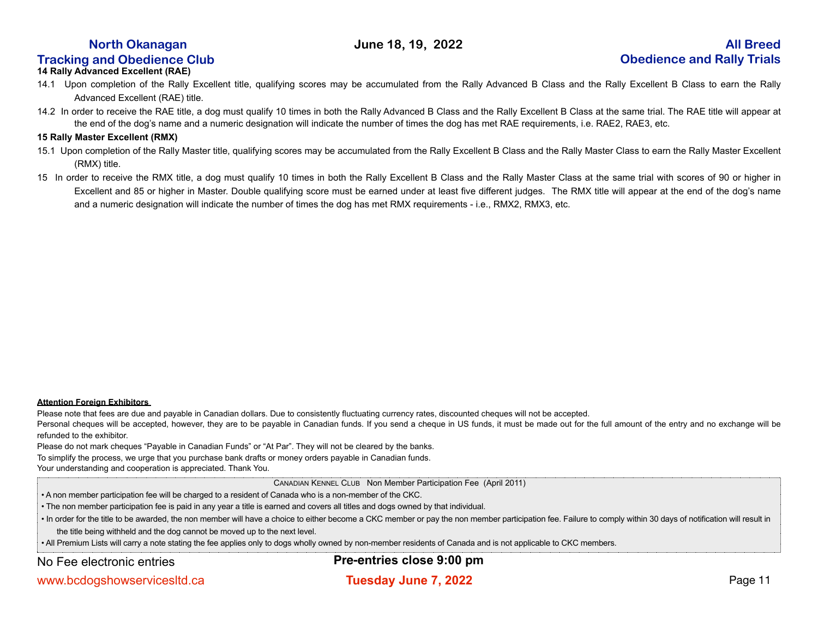# **North Okanagan**

# **Tracking and Obedience Club**

### **14 Rally Advanced Excellent (RAE)**

- 14.1 Upon completion of the Rally Excellent title, qualifying scores may be accumulated from the Rally Advanced B Class and the Rally Excellent B Class to earn the Rally Advanced Excellent (RAE) title.
- 14.2 In order to receive the RAE title, a dog must qualify 10 times in both the Rally Advanced B Class and the Rally Excellent B Class at the same trial. The RAE title will appear at the end of the dog's name and a numeric designation will indicate the number of times the dog has met RAE requirements, i.e. RAE2, RAE3, etc.

#### **15 Rally Master Excellent (RMX)**

- 15.1 Upon completion of the Rally Master title, qualifying scores may be accumulated from the Rally Excellent B Class and the Rally Master Class to earn the Rally Master Excellent (RMX) title.
- 15 In order to receive the RMX title, a dog must qualify 10 times in both the Rally Excellent B Class and the Rally Master Class at the same trial with scores of 90 or higher in Excellent and 85 or higher in Master. Double qualifying score must be earned under at least five different judges. The RMX title will appear at the end of the dog's name and a numeric designation will indicate the number of times the dog has met RMX requirements - i.e., RMX2, RMX3, etc.

#### **Attention Foreign Exhibitors**

Please note that fees are due and payable in Canadian dollars. Due to consistently fluctuating currency rates, discounted cheques will not be accepted.

Personal cheques will be accepted, however, they are to be payable in Canadian funds. If you send a cheque in US funds, it must be made out for the full amount of the entry and no exchange will be refunded to the exhibitor.

Please do not mark cheques "Payable in Canadian Funds" or "At Par". They will not be cleared by the banks.

To simplify the process, we urge that you purchase bank drafts or money orders payable in Canadian funds.

Your understanding and cooperation is appreciated. Thank You.

CANADIAN KENNEL CLUB Non Member Participation Fee (April 2011)

• A non member participation fee will be charged to a resident of Canada who is a non-member of the CKC.

• The non member participation fee is paid in any year a title is earned and covers all titles and dogs owned by that individual.

• In order for the title to be awarded, the non member will have a choice to either become a CKC member or pay the non member participation fee. Failure to comply within 30 days of notification will result in

the title being withheld and the dog cannot be moved up to the next level.

• All Premium Lists will carry a note stating the fee applies only to dogs wholly owned by non-member residents of Canada and is not applicable to CKC members.

No Fee electronic entries

# **Pre-entries close 9:00 pm**

[www.bcdogshowservicesltd.ca](https://www.bcdogshowservicesltd.ca)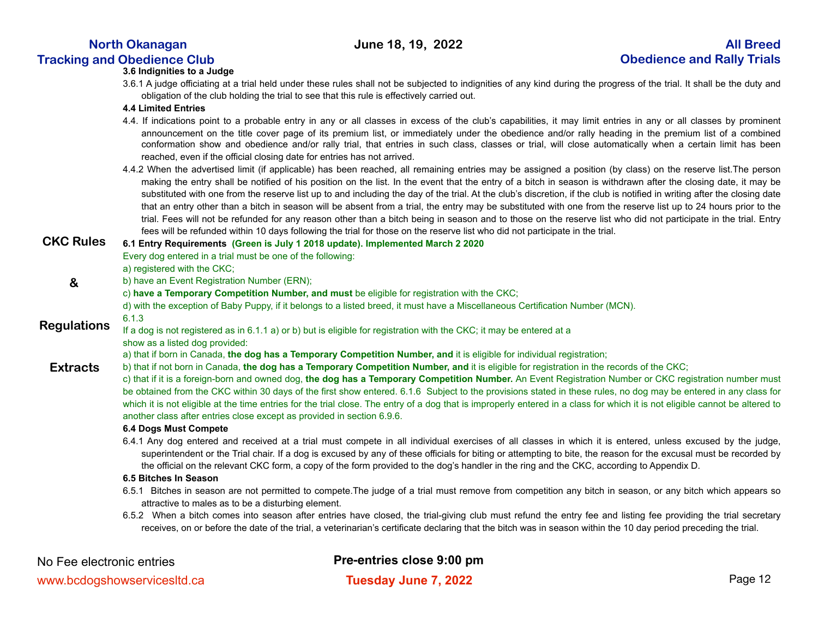#### **3.6 Indignities to a Judge**

3.6.1 A judge officiating at a trial held under these rules shall not be subjected to indignities of any kind during the progress of the trial. It shall be the duty and obligation of the club holding the trial to see that this rule is effectively carried out.

#### **4.4 Limited Entries**

- 4.4. If indications point to a probable entry in any or all classes in excess of the club's capabilities, it may limit entries in any or all classes by prominent announcement on the title cover page of its premium list, or immediately under the obedience and/or rally heading in the premium list of a combined conformation show and obedience and/or rally trial, that entries in such class, classes or trial, will close automatically when a certain limit has been reached, even if the official closing date for entries has not arrived.
- 4.4.2 When the advertised limit (if applicable) has been reached, all remaining entries may be assigned a position (by class) on the reserve list.The person making the entry shall be notified of his position on the list. In the event that the entry of a bitch in season is withdrawn after the closing date, it may be substituted with one from the reserve list up to and including the day of the trial. At the club's discretion, if the club is notified in writing after the closing date that an entry other than a bitch in season will be absent from a trial, the entry may be substituted with one from the reserve list up to 24 hours prior to the trial. Fees will not be refunded for any reason other than a bitch being in season and to those on the reserve list who did not participate in the trial. Entry fees will be refunded within 10 days following the trial for those on the reserve list who did not participate in the trial.

#### **6.1 Entry Requirements (Green is July 1 2018 update). Implemented March 2 2020 CKC Rules**

Every dog entered in a trial must be one of the following:

a) registered with the CKC;

b) have an Event Registration Number (ERN); **&** 

c) **have a Temporary Competition Number, and must** be eligible for registration with the CKC;

d) with the exception of Baby Puppy, if it belongs to a listed breed, it must have a Miscellaneous Certification Number (MCN).

#### 6.1.3 **Regulations**

If a dog is not registered as in 6.1.1 a) or b) but is eligible for registration with the CKC; it may be entered at a

show as a listed dog provided:

a) that if born in Canada, **the dog has a Temporary Competition Number, and** it is eligible for individual registration;

b) that if not born in Canada, **the dog has a Temporary Competition Number, and** it is eligible for registration in the records of the CKC; **Extracts**

c) that if it is a foreign-born and owned dog, **the dog has a Temporary Competition Number.** An Event Registration Number or CKC registration number must be obtained from the CKC within 30 days of the first show entered. 6.1.6 Subject to the provisions stated in these rules, no dog may be entered in any class for which it is not eligible at the time entries for the trial close. The entry of a dog that is improperly entered in a class for which it is not eligible cannot be altered to another class after entries close except as provided in section 6.9.6.

#### **6.4 Dogs Must Compete**

6.4.1 Any dog entered and received at a trial must compete in all individual exercises of all classes in which it is entered, unless excused by the judge, superintendent or the Trial chair. If a dog is excused by any of these officials for biting or attempting to bite, the reason for the excusal must be recorded by the official on the relevant CKC form, a copy of the form provided to the dog's handler in the ring and the CKC, according to Appendix D.

#### **6.5 Bitches In Season**

- 6.5.1 Bitches in season are not permitted to compete.The judge of a trial must remove from competition any bitch in season, or any bitch which appears so attractive to males as to be a disturbing element.
- 6.5.2 When a bitch comes into season after entries have closed, the trial-giving club must refund the entry fee and listing fee providing the trial secretary receives, on or before the date of the trial, a veterinarian's certificate declaring that the bitch was in season within the 10 day period preceding the trial.

| No Fee electronic entries   |
|-----------------------------|
| www.bcdogshowservicesItd.ca |

**Pre-entries close 9:00 pm**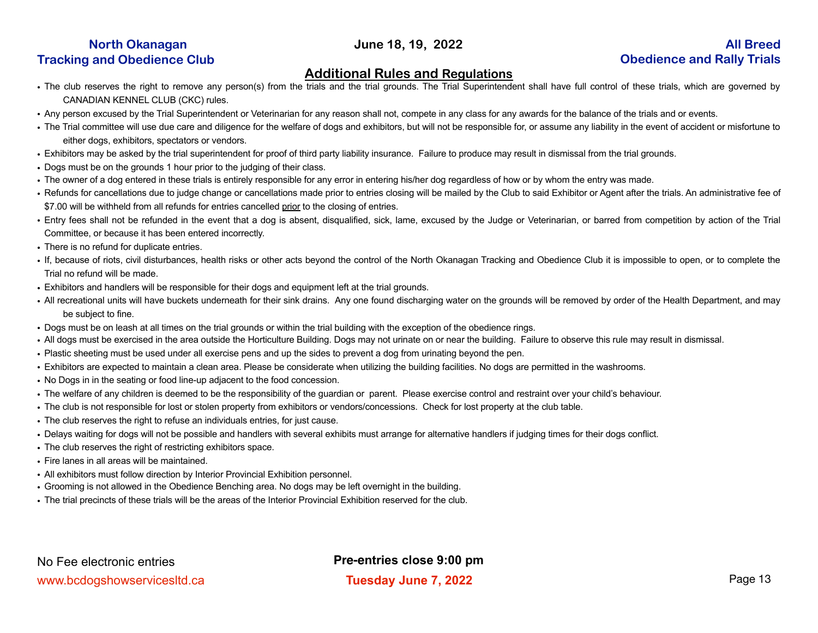# **June 18, 19, 2022 All Breed**

# **Obedience and Rally Trials**

# **Additional Rules and Regulations**

- The club reserves the right to remove any person(s) from the trials and the trial grounds. The Trial Superintendent shall have full control of these trials, which are governed by CANADIAN KENNEL CLUB (CKC) rules.
- Any person excused by the Trial Superintendent or Veterinarian for any reason shall not, compete in any class for any awards for the balance of the trials and or events.
- The Trial committee will use due care and diligence for the welfare of dogs and exhibitors, but will not be responsible for, or assume any liability in the event of accident or misfortune to either dogs, exhibitors, spectators or vendors.
- Exhibitors may be asked by the trial superintendent for proof of third party liability insurance. Failure to produce may result in dismissal from the trial grounds.
- Dogs must be on the grounds 1 hour prior to the judging of their class.
- The owner of a dog entered in these trials is entirely responsible for any error in entering his/her dog regardless of how or by whom the entry was made.
- Refunds for cancellations due to judge change or cancellations made prior to entries closing will be mailed by the Club to said Exhibitor or Agent after the trials. An administrative fee of \$7.00 will be withheld from all refunds for entries cancelled prior to the closing of entries.
- Entry fees shall not be refunded in the event that a dog is absent, disqualified, sick, lame, excused by the Judge or Veterinarian, or barred from competition by action of the Trial Committee, or because it has been entered incorrectly.
- There is no refund for duplicate entries.
- If, because of riots, civil disturbances, health risks or other acts beyond the control of the North Okanagan Tracking and Obedience Club it is impossible to open, or to complete the Trial no refund will be made.
- Exhibitors and handlers will be responsible for their dogs and equipment left at the trial grounds.
- All recreational units will have buckets underneath for their sink drains. Any one found discharging water on the grounds will be removed by order of the Health Department, and may be subject to fine.
- Dogs must be on leash at all times on the trial grounds or within the trial building with the exception of the obedience rings.
- All dogs must be exercised in the area outside the Horticulture Building. Dogs may not urinate on or near the building. Failure to observe this rule may result in dismissal.
- Plastic sheeting must be used under all exercise pens and up the sides to prevent a dog from urinating beyond the pen.
- Exhibitors are expected to maintain a clean area. Please be considerate when utilizing the building facilities. No dogs are permitted in the washrooms.
- No Dogs in in the seating or food line-up adjacent to the food concession.
- The welfare of any children is deemed to be the responsibility of the guardian or parent. Please exercise control and restraint over your child's behaviour.
- The club is not responsible for lost or stolen property from exhibitors or vendors/concessions. Check for lost property at the club table.
- The club reserves the right to refuse an individuals entries, for just cause.
- Delays waiting for dogs will not be possible and handlers with several exhibits must arrange for alternative handlers if judging times for their dogs conflict.
- The club reserves the right of restricting exhibitors space.
- Fire lanes in all areas will be maintained.
- All exhibitors must follow direction by Interior Provincial Exhibition personnel.
- Grooming is not allowed in the Obedience Benching area. No dogs may be left overnight in the building.
- The trial precincts of these trials will be the areas of the Interior Provincial Exhibition reserved for the club.

**Pre-entries close 9:00 pm Tuesday June 7, 2022**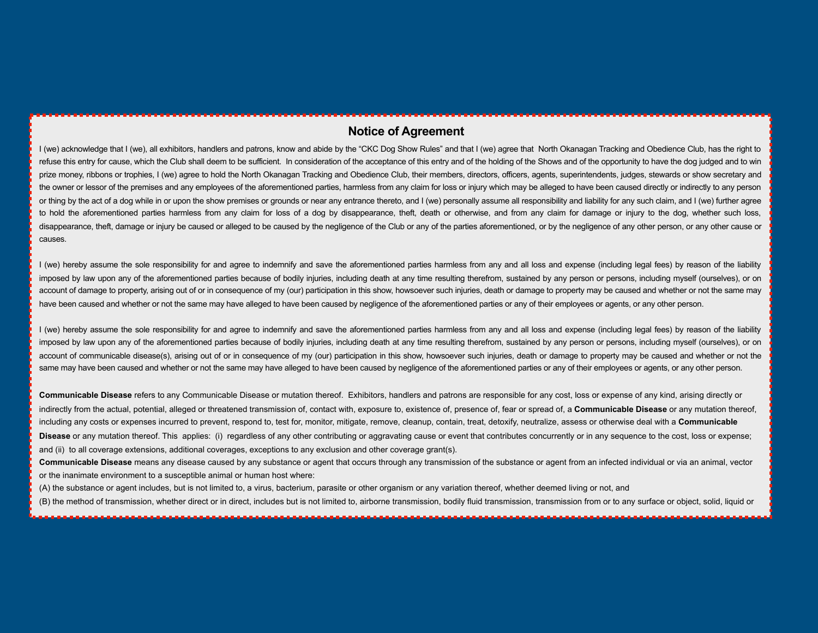# **Notice of Agreement**

I (we) acknowledge that I (we), all exhibitors, handlers and patrons, know and abide by the "CKC Dog Show Rules" and that I (we) agree that North Okanagan Tracking and Obedience Club, has the right to refuse this entry for cause, which the Club shall deem to be sufficient. In consideration of the acceptance of this entry and of the holding of the Shows and of the opportunity to have the dog judged and to win prize money, ribbons or trophies, I (we) agree to hold the North Okanagan Tracking and Obedience Club, their members, directors, officers, agents, superintendents, judges, stewards or show secretary and the owner or lessor of the premises and any employees of the aforementioned parties, harmless from any claim for loss or injury which may be alleged to have been caused directly or indirectly to any person or thing by the act of a dog while in or upon the show premises or grounds or near any entrance thereto, and I (we) personally assume all responsibility and liability for any such claim, and I (we) further agree to hold the aforementioned parties harmless from any claim for loss of a dog by disappearance, theft, death or otherwise, and from any claim for damage or injury to the dog, whether such loss, disappearance, theft, damage or injury be caused or alleged to be caused by the negligence of the Club or any of the parties aforementioned, or by the negligence of any other person, or any other cause or causes.

I (we) hereby assume the sole responsibility for and agree to indemnify and save the aforementioned parties harmless from any and all loss and expense (including legal fees) by reason of the liability imposed by law upon any of the aforementioned parties because of bodily injuries, including death at any time resulting therefrom, sustained by any person or persons, including myself (ourselves), or on account of damage to property, arising out of or in consequence of my (our) participation in this show, howsoever such injuries, death or damage to property may be caused and whether or not the same may have been caused and whether or not the same may have alleged to have been caused by negligence of the aforementioned parties or any of their employees or agents, or any other person.

I (we) hereby assume the sole responsibility for and agree to indemnify and save the aforementioned parties harmless from any and all loss and expense (including legal fees) by reason of the liability imposed by law upon any of the aforementioned parties because of bodily injuries, including death at any time resulting therefrom, sustained by any person or persons, including myself (ourselves), or on account of communicable disease(s), arising out of or in consequence of my (our) participation in this show, howsoever such injuries, death or damage to property may be caused and whether or not the same may have been caused and whether or not the same may have alleged to have been caused by negligence of the aforementioned parties or any of their employees or agents, or any other person.

**Communicable Disease** refers to any Communicable Disease or mutation thereof. Exhibitors, handlers and patrons are responsible for any cost, loss or expense of any kind, arising directly or indirectly from the actual, potential, alleged or threatened transmission of, contact with, exposure to, existence of, presence of, fear or spread of, a **Communicable Disease** or any mutation thereof, including any costs or expenses incurred to prevent, respond to, test for, monitor, mitigate, remove, cleanup, contain, treat, detoxify, neutralize, assess or otherwise deal with a **Communicable Disease** or any mutation thereof. This applies: (i) regardless of any other contributing or aggravating cause or event that contributes concurrently or in any sequence to the cost, loss or expense; and (ii) to all coverage extensions, additional coverages, exceptions to any exclusion and other coverage grant(s).

**Communicable Disease** means any disease caused by any substance or agent that occurs through any transmission of the substance or agent from an infected individual or via an animal, vector or the inanimate environment to a susceptible animal or human host where:

(A) the substance or agent includes, but is not limited to, a virus, bacterium, parasite or other organism or any variation thereof, whether deemed living or not, and

(B) the method of transmission, whether direct or in direct, includes but is not limited to, airborne transmission, bodily fluid transmission, transmission from or to any surface or object, solid, liquid or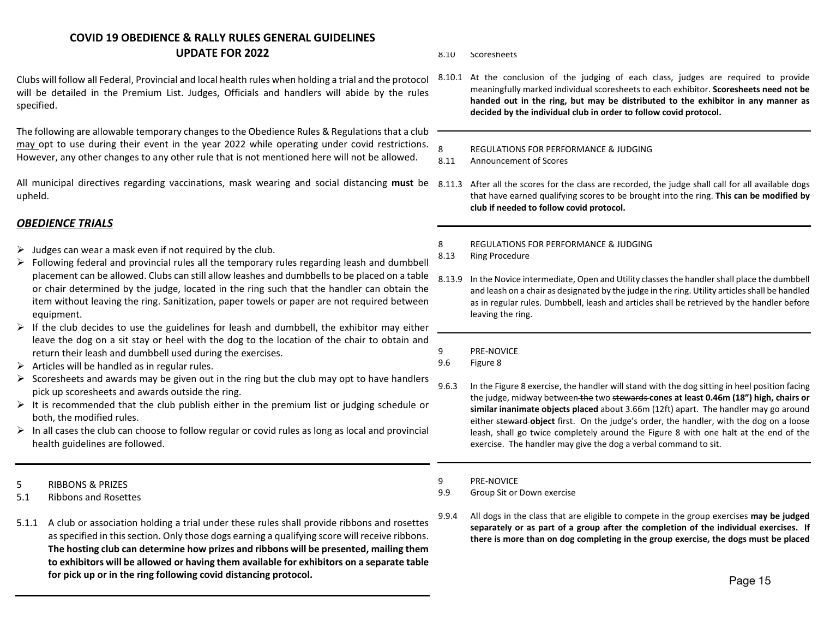#### **North Okanagan COVID 19 OBEDIENCE & RALLY RULES GENERAL GUIDELINES Tracking and Obedience** Clubberry **June 18, 19, 2022 All Breed UPDATE FOR 2022**

Clubs will follow all Federal, Provincial and local health rules when holding a trial and the protocol will be detailed in the Premium List. Judges, Officials and handlers will abide by the rules specified.

The following are allowable temporary changes to the Obedience Rules & Regulations that a club may opt to use during their event in the year 2022 while operating under covid restrictions. However, any other changes to any other rule that is not mentioned here will not be allowed.

All municipal directives regarding vaccinations, mask wearing and social distancing must be 8.11.3 After all the scores for the class are recorded, the judge shall call for all available dogs upheld.

# *OBEDIENCE TRIALS*

- $\triangleright$  Judges can wear a mask even if not required by the club.
- $\triangleright$  Following federal and provincial rules all the temporary rules regarding leash and dumbbell placement can be allowed. Clubs can still allow leashes and dumbbellsto be placed on a table or chair determined by the judge, located in the ring such that the handler can obtain the item without leaving the ring. Sanitization, paper towels or paper are not required between equipment.
- $\triangleright$  If the club decides to use the guidelines for leash and dumbbell, the exhibitor may either leave the dog on a sit stay or heel with the dog to the location of the chair to obtain and return their leash and dumbbell used during the exercises.
- $\triangleright$  Articles will be handled as in regular rules.
- $\triangleright$  Scoresheets and awards may be given out in the ring but the club may opt to have handlers pick up scoresheets and awards outside the ring.
- $\triangleright$  It is recommended that the club publish either in the premium list or judging schedule or both, the modified rules.
- $\triangleright$  In all cases the club can choose to follow regular or covid rules as long as local and provincial health guidelines are followed.
- 5 RIBBONS & PRIZES
- 5.1 Ribbons and Rosettes
- to exhibitors will be allowed or having them available for exhibitors on a separate table for pick up or in the ring following covid distancing protocol. **Tuesday June 7, 2022** Page 15 5.1.1 A club or association holding a trial under these rules shall provide ribbons and rosettes as specified in this section. Only those dogs earning a qualifying score will receive ribbons. **The hosting club can determine how prizes and ribbons will be presented, mailing them**

8.10 Scoresheets

8.10.1 At the conclusion of the judging of each class, judges are required to provide meaningfully marked individual scoresheets to each exhibitor. **Scoresheets need not be handed out in the ring, but may be distributed to the exhibitor in any manner as decided by the individual club in order to follow covid protocol.**

### 8 REGULATIONS FOR PERFORMANCE & JUDGING

8.11 Announcement of Scores

that have earned qualifying scores to be brought into the ring. **This can be modified by club if needed to follow covid protocol.**

8 REGULATIONS FOR PERFORMANCE & JUDGING

8.13 Ring Procedure

8.13.9 In the Novice intermediate, Open and Utility classes the handlershall place the dumbbell and leash on a chair as designated by the judge in the ring. Utility articles shall be handled as in regular rules. Dumbbell, leash and articles shall be retrieved by the handler before leaving the ring.

9 PRE-NOVICE 9.6 Figure 8

9.6.3 In the Figure 8 exercise, the handler will stand with the dog sitting in heel position facing the judge, midway between the two stewards **cones at least 0.46m (18") high, chairs or similar inanimate objects placed** about 3.66m (12ft) apart. The handler may go around either steward **object** first. On the judge's order, the handler, with the dog on a loose leash, shall go twice completely around the Figure 8 with one halt at the end of the exercise. The handler may give the dog a verbal command to sit.

9 PRE-NOVICE

9.9 Group Sit or Down exercise

9.9.4 All dogs in the class that are eligible to compete in the group exercises **may be judged separately or as part of a group after the completion of the individual exercises. If there is more than on dog completing in the group exercise, the dogs must be placed**